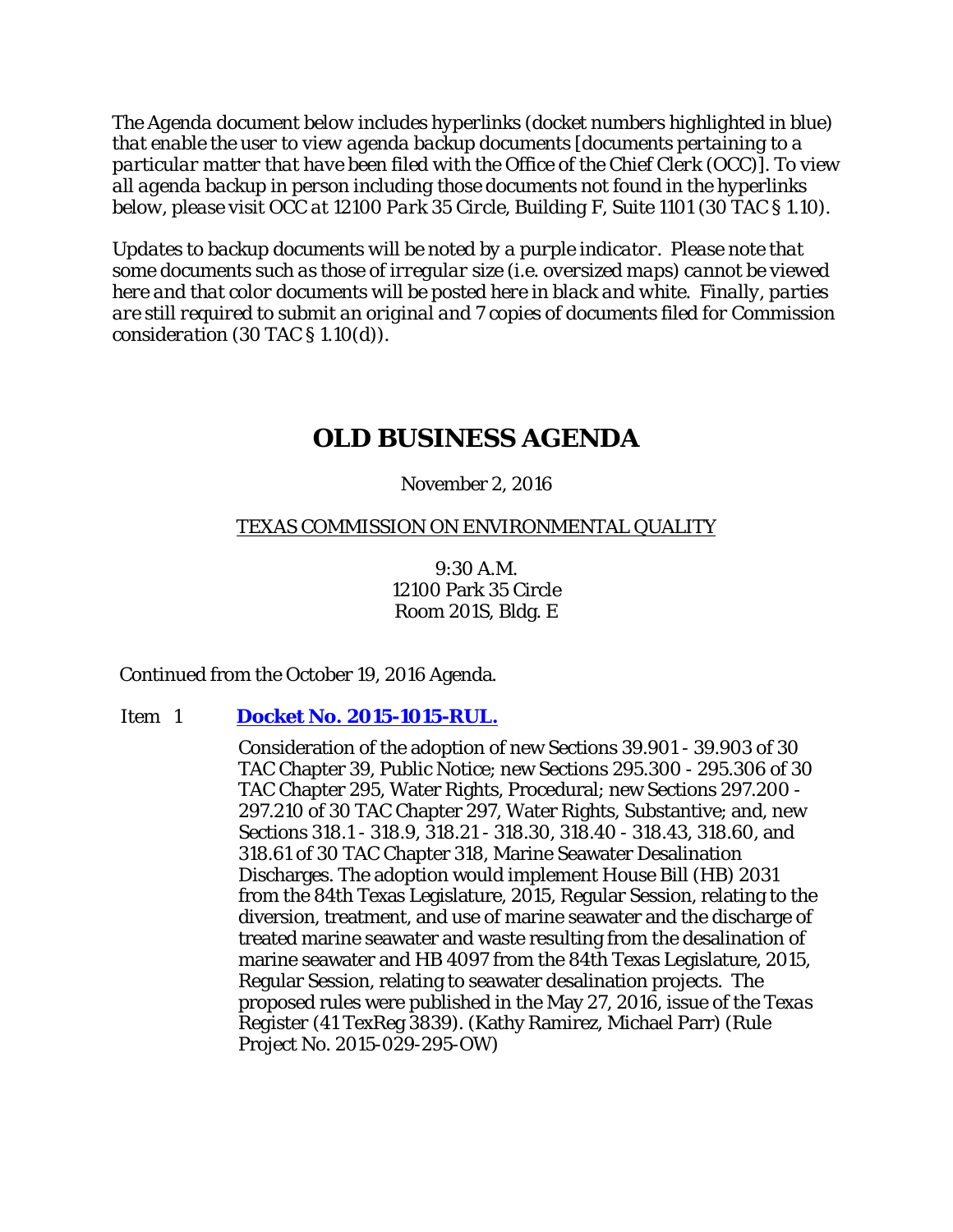*The Agenda document below includes hyperlinks (docket numbers highlighted in blue) that enable the user to view agenda backup documents [documents pertaining to a particular matter that have been filed with the Office of the Chief Clerk (OCC)]. To view all agenda backup in person including those documents not found in the hyperlinks below, please visit OCC at 12100 Park 35 Circle, Building F, Suite 1101 (30 TAC § 1.10).*

*Updates to backup documents will be noted by a purple indicator. Please note that some documents such as those of irregular size (i.e. oversized maps) cannot be viewed here and that color documents will be posted here in black and white. Finally, parties are still required to submit an original and 7 copies of documents filed for Commission consideration (30 TAC § 1.10(d)).*

# **OLD BUSINESS AGENDA**

## November 2, 2016

# TEXAS COMMISSION ON ENVIRONMENTAL QUALITY

9:30 A.M. 12100 Park 35 Circle Room 201S, Bldg. E

Continued from the October 19, 2016 Agenda.

## Item 1 **[Docket No. 2015-1015-RUL.](http://www.tceq.texas.gov/assets/public/comm_exec/agendas/comm/backup/Agendas/2016/11-02-2016/1015RUL.pdf)**

Consideration of the adoption of new Sections 39.901 - 39.903 of 30 TAC Chapter 39, Public Notice; new Sections 295.300 - 295.306 of 30 TAC Chapter 295, Water Rights, Procedural; new Sections 297.200 - 297.210 of 30 TAC Chapter 297, Water Rights, Substantive; and, new Sections 318.1 - 318.9, 318.21 - 318.30, 318.40 - 318.43, 318.60, and 318.61 of 30 TAC Chapter 318, Marine Seawater Desalination Discharges. The adoption would implement House Bill (HB) 2031 from the 84th Texas Legislature, 2015, Regular Session, relating to the diversion, treatment, and use of marine seawater and the discharge of treated marine seawater and waste resulting from the desalination of marine seawater and HB 4097 from the 84th Texas Legislature, 2015, Regular Session, relating to seawater desalination projects. The proposed rules were published in the May 27, 2016, issue of the *Texas Register* (41 TexReg 3839). (Kathy Ramirez, Michael Parr) (Rule Project No. 2015-029-295-OW)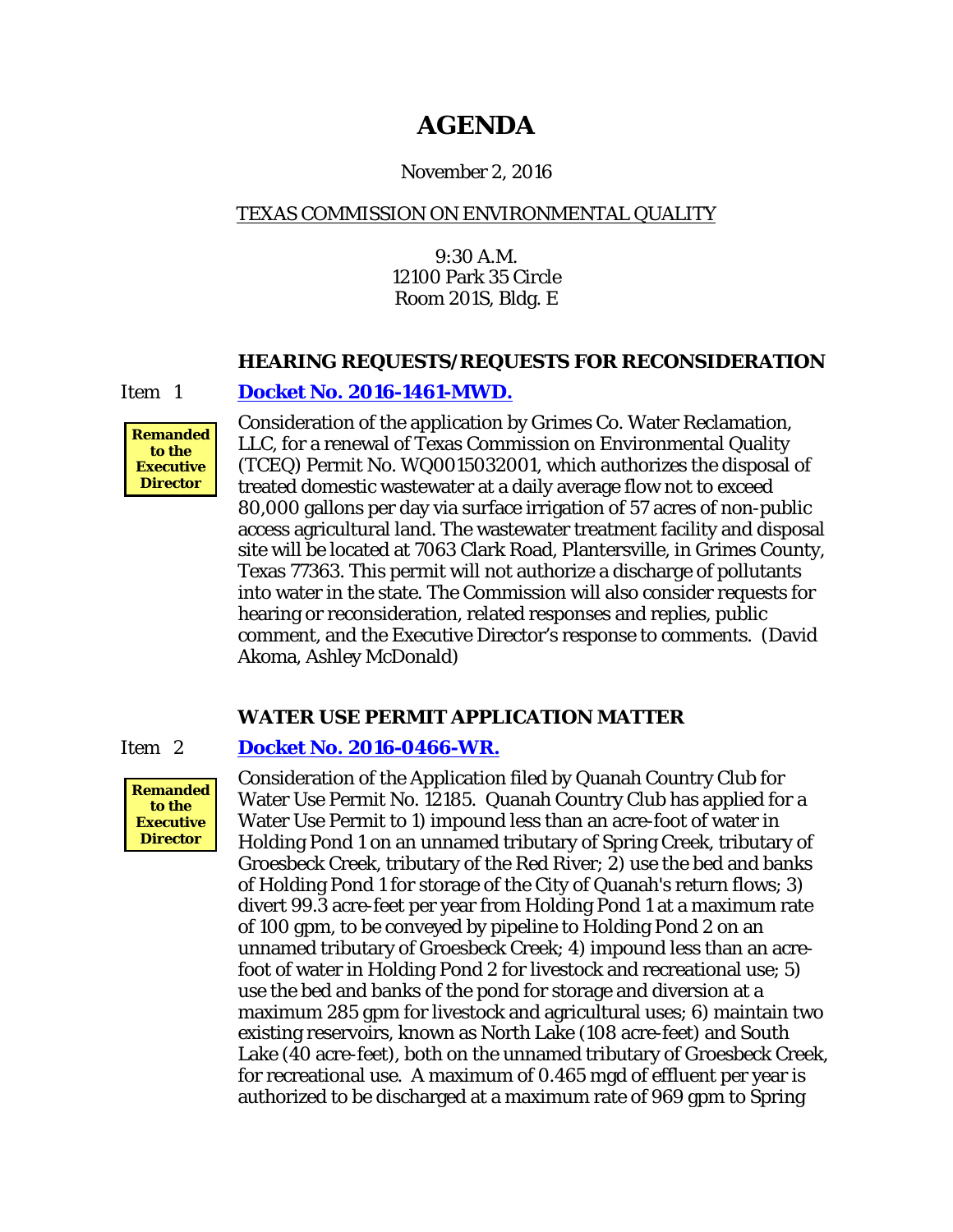# **AGENDA**

## November 2, 2016

# TEXAS COMMISSION ON ENVIRONMENTAL QUALITY

9:30 A.M. 12100 Park 35 Circle Room 201S, Bldg. E

#### **HEARING REQUESTS/REQUESTS FOR RECONSIDERATION**

Item 1 **[Docket No. 2016-1461-MWD.](http://www.tceq.texas.gov/assets/public/comm_exec/agendas/comm/backup/Agendas/2016/11-02-2016/grimes.pdf)**



Consideration of the application by Grimes Co. Water Reclamation, LLC, for a renewal of Texas Commission on Environmental Quality (TCEQ) Permit No. WQ0015032001, which authorizes the disposal of treated domestic wastewater at a daily average flow not to exceed 80,000 gallons per day via surface irrigation of 57 acres of non-public access agricultural land. The wastewater treatment facility and disposal site will be located at 7063 Clark Road, Plantersville, in Grimes County, Texas 77363. This permit will not authorize a discharge of pollutants into water in the state. The Commission will also consider requests for hearing or reconsideration, related responses and replies, public comment, and the Executive Director's response to comments. (David Akoma, Ashley McDonald)

# **WATER USE PERMIT APPLICATION MATTER**

#### Item 2 **[Docket No. 2016-0466-WR.](http://www.tceq.texas.gov/assets/public/comm_exec/agendas/comm/backup/Agendas/2016/11-02-2016/quanah.pdf)**



Consideration of the Application filed by Quanah Country Club for Water Use Permit No. 12185. Quanah Country Club has applied for a Water Use Permit to 1) impound less than an acre-foot of water in Holding Pond 1 on an unnamed tributary of Spring Creek, tributary of Groesbeck Creek, tributary of the Red River; 2) use the bed and banks of Holding Pond 1 for storage of the City of Quanah's return flows; 3) divert 99.3 acre-feet per year from Holding Pond 1 at a maximum rate of 100 gpm, to be conveyed by pipeline to Holding Pond 2 on an unnamed tributary of Groesbeck Creek; 4) impound less than an acrefoot of water in Holding Pond 2 for livestock and recreational use; 5) use the bed and banks of the pond for storage and diversion at a maximum 285 gpm for livestock and agricultural uses; 6) maintain two existing reservoirs, known as North Lake (108 acre-feet) and South Lake (40 acre-feet), both on the unnamed tributary of Groesbeck Creek, for recreational use. A maximum of 0.465 mgd of effluent per year is authorized to be discharged at a maximum rate of 969 gpm to Spring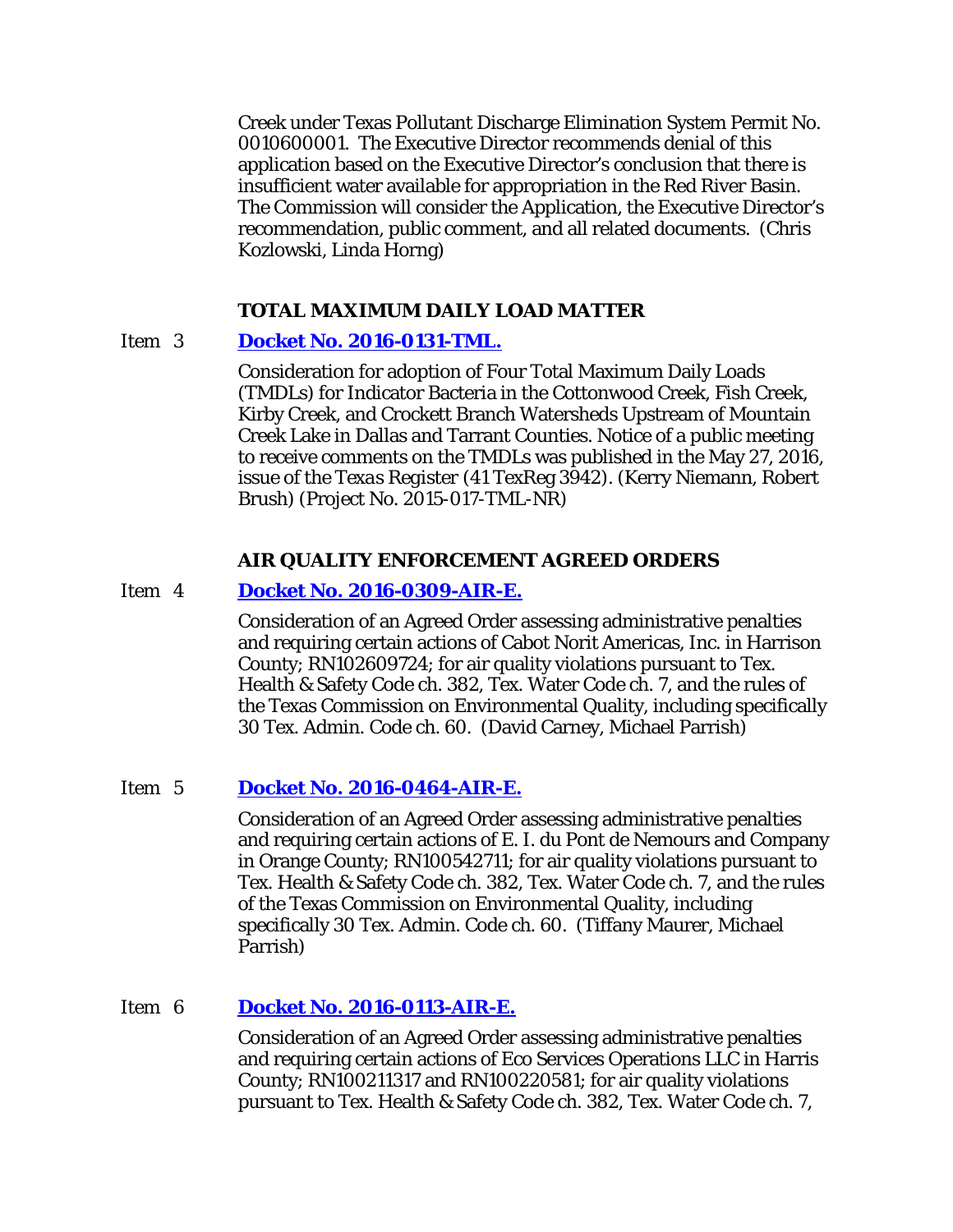Creek under Texas Pollutant Discharge Elimination System Permit No. 0010600001. The Executive Director recommends denial of this application based on the Executive Director's conclusion that there is insufficient water available for appropriation in the Red River Basin. The Commission will consider the Application, the Executive Director's recommendation, public comment, and all related documents. (Chris Kozlowski, Linda Horng)

#### **TOTAL MAXIMUM DAILY LOAD MATTER**

## Item 3 **Docket No. [2016-0131-TML.](http://www.tceq.texas.gov/assets/public/comm_exec/agendas/comm/backup/Agendas/2016/11-02-2016/0131TML.pdf)**

Consideration for adoption of Four Total Maximum Daily Loads (TMDLs) for Indicator Bacteria in the Cottonwood Creek, Fish Creek, Kirby Creek, and Crockett Branch Watersheds Upstream of Mountain Creek Lake in Dallas and Tarrant Counties. Notice of a public meeting to receive comments on the TMDLs was published in the May 27, 2016, issue of the *Texas Register* (41 TexReg 3942). (Kerry Niemann, Robert Brush) (Project No. 2015-017-TML-NR)

#### **AIR QUALITY ENFORCEMENT AGREED ORDERS**

#### Item 4 **[Docket No. 2016-0309-AIR-E.](http://www.tceq.texas.gov/assets/public/comm_exec/agendas/comm/backup/Agendas/2016/11-02-2016/0309AIR.pdf)**

Consideration of an Agreed Order assessing administrative penalties and requiring certain actions of Cabot Norit Americas, Inc. in Harrison County; RN102609724; for air quality violations pursuant to Tex. Health & Safety Code ch. 382, Tex. Water Code ch. 7, and the rules of the Texas Commission on Environmental Quality, including specifically 30 Tex. Admin. Code ch. 60. (David Carney, Michael Parrish)

## Item 5 **[Docket No. 2016-0464-AIR-E.](http://www.tceq.texas.gov/assets/public/comm_exec/agendas/comm/backup/Agendas/2016/11-02-2016/0464AIR.pdf)**

Consideration of an Agreed Order assessing administrative penalties and requiring certain actions of E. I. du Pont de Nemours and Company in Orange County; RN100542711; for air quality violations pursuant to Tex. Health & Safety Code ch. 382, Tex. Water Code ch. 7, and the rules of the Texas Commission on Environmental Quality, including specifically 30 Tex. Admin. Code ch. 60. (Tiffany Maurer, Michael Parrish)

## Item 6 **[Docket No. 2016-0113-AIR-E.](http://www.tceq.texas.gov/assets/public/comm_exec/agendas/comm/backup/Agendas/2016/11-02-2016/0113AIR.pdf)**

Consideration of an Agreed Order assessing administrative penalties and requiring certain actions of Eco Services Operations LLC in Harris County; RN100211317 and RN100220581; for air quality violations pursuant to Tex. Health & Safety Code ch. 382, Tex. Water Code ch. 7,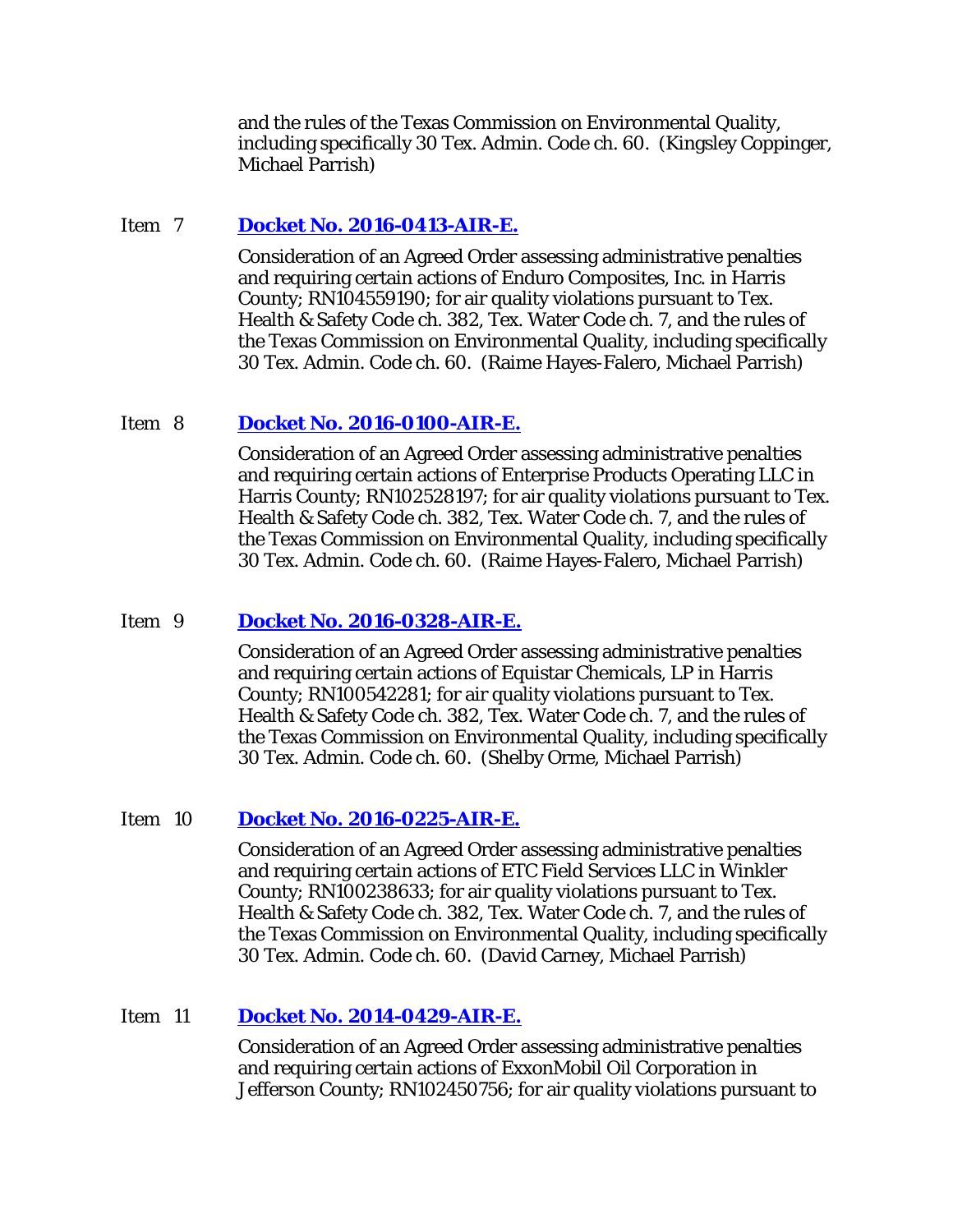and the rules of the Texas Commission on Environmental Quality, including specifically 30 Tex. Admin. Code ch. 60. (Kingsley Coppinger, Michael Parrish)

#### Item 7 **[Docket No. 2016-0413-AIR-E.](http://www.tceq.texas.gov/assets/public/comm_exec/agendas/comm/backup/Agendas/2016/11-02-2016/0413AIR.pdf)**

Consideration of an Agreed Order assessing administrative penalties and requiring certain actions of Enduro Composites, Inc. in Harris County; RN104559190; for air quality violations pursuant to Tex. Health & Safety Code ch. 382, Tex. Water Code ch. 7, and the rules of the Texas Commission on Environmental Quality, including specifically 30 Tex. Admin. Code ch. 60. (Raime Hayes-Falero, Michael Parrish)

#### Item 8 **[Docket No. 2016-0100-AIR-E.](http://www.tceq.texas.gov/assets/public/comm_exec/agendas/comm/backup/Agendas/2016/11-02-2016/0100AIR.pdf)**

Consideration of an Agreed Order assessing administrative penalties and requiring certain actions of Enterprise Products Operating LLC in Harris County; RN102528197; for air quality violations pursuant to Tex. Health & Safety Code ch. 382, Tex. Water Code ch. 7, and the rules of the Texas Commission on Environmental Quality, including specifically 30 Tex. Admin. Code ch. 60. (Raime Hayes-Falero, Michael Parrish)

#### Item 9 **[Docket No. 2016-0328-AIR-E.](http://www.tceq.texas.gov/assets/public/comm_exec/agendas/comm/backup/Agendas/2016/11-02-2016/0328AIR.pdf)**

Consideration of an Agreed Order assessing administrative penalties and requiring certain actions of Equistar Chemicals, LP in Harris County; RN100542281; for air quality violations pursuant to Tex. Health & Safety Code ch. 382, Tex. Water Code ch. 7, and the rules of the Texas Commission on Environmental Quality, including specifically 30 Tex. Admin. Code ch. 60. (Shelby Orme, Michael Parrish)

#### Item 10 **[Docket No. 2016-0225-AIR-E.](http://www.tceq.texas.gov/assets/public/comm_exec/agendas/comm/backup/Agendas/2016/11-02-2016/0225AIR.pdf)**

Consideration of an Agreed Order assessing administrative penalties and requiring certain actions of ETC Field Services LLC in Winkler County; RN100238633; for air quality violations pursuant to Tex. Health & Safety Code ch. 382, Tex. Water Code ch. 7, and the rules of the Texas Commission on Environmental Quality, including specifically 30 Tex. Admin. Code ch. 60. (David Carney, Michael Parrish)

#### Item 11 **[Docket No. 2014-0429-AIR-E.](http://www.tceq.texas.gov/assets/public/comm_exec/agendas/comm/backup/Agendas/2016/11-02-2016/0429AIR.pdf)**

Consideration of an Agreed Order assessing administrative penalties and requiring certain actions of ExxonMobil Oil Corporation in Jefferson County; RN102450756; for air quality violations pursuant to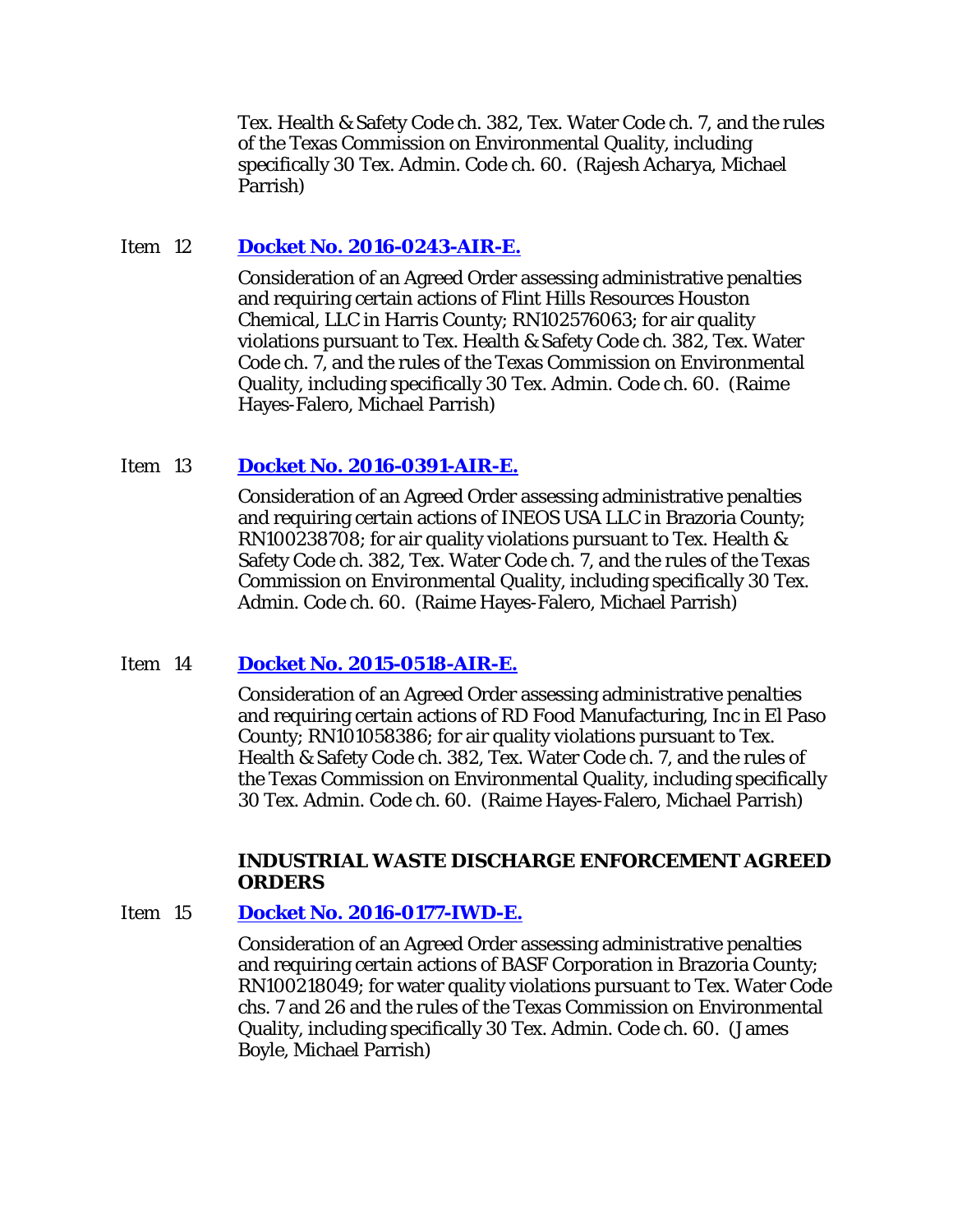Tex. Health & Safety Code ch. 382, Tex. Water Code ch. 7, and the rules of the Texas Commission on Environmental Quality, including specifically 30 Tex. Admin. Code ch. 60. (Rajesh Acharya, Michael Parrish)

## Item 12 **[Docket No. 2016-0243-AIR-E.](http://www.tceq.texas.gov/assets/public/comm_exec/agendas/comm/backup/Agendas/2016/11-02-2016/0243AIR.pdf)**

Consideration of an Agreed Order assessing administrative penalties and requiring certain actions of Flint Hills Resources Houston Chemical, LLC in Harris County; RN102576063; for air quality violations pursuant to Tex. Health & Safety Code ch. 382, Tex. Water Code ch. 7, and the rules of the Texas Commission on Environmental Quality, including specifically 30 Tex. Admin. Code ch. 60. (Raime Hayes-Falero, Michael Parrish)

# Item 13 **[Docket No. 2016-0391-AIR-E.](http://www.tceq.texas.gov/assets/public/comm_exec/agendas/comm/backup/Agendas/2016/11-02-2016/0391AIR.pdf)**

Consideration of an Agreed Order assessing administrative penalties and requiring certain actions of INEOS USA LLC in Brazoria County; RN100238708; for air quality violations pursuant to Tex. Health & Safety Code ch. 382, Tex. Water Code ch. 7, and the rules of the Texas Commission on Environmental Quality, including specifically 30 Tex. Admin. Code ch. 60. (Raime Hayes-Falero, Michael Parrish)

## Item 14 **[Docket No. 2015-0518-AIR-E.](http://www.tceq.texas.gov/assets/public/comm_exec/agendas/comm/backup/Agendas/2016/11-02-2016/0518AIR.pdf)**

Consideration of an Agreed Order assessing administrative penalties and requiring certain actions of RD Food Manufacturing, Inc in El Paso County; RN101058386; for air quality violations pursuant to Tex. Health & Safety Code ch. 382, Tex. Water Code ch. 7, and the rules of the Texas Commission on Environmental Quality, including specifically 30 Tex. Admin. Code ch. 60. (Raime Hayes-Falero, Michael Parrish)

## **INDUSTRIAL WASTE DISCHARGE ENFORCEMENT AGREED ORDERS**

## Item 15 **[Docket No. 2016-0177-IWD-E.](http://www.tceq.texas.gov/assets/public/comm_exec/agendas/comm/backup/Agendas/2016/11-02-2016/0177IWD.pdf)**

Consideration of an Agreed Order assessing administrative penalties and requiring certain actions of BASF Corporation in Brazoria County; RN100218049; for water quality violations pursuant to Tex. Water Code chs. 7 and 26 and the rules of the Texas Commission on Environmental Quality, including specifically 30 Tex. Admin. Code ch. 60. (James Boyle, Michael Parrish)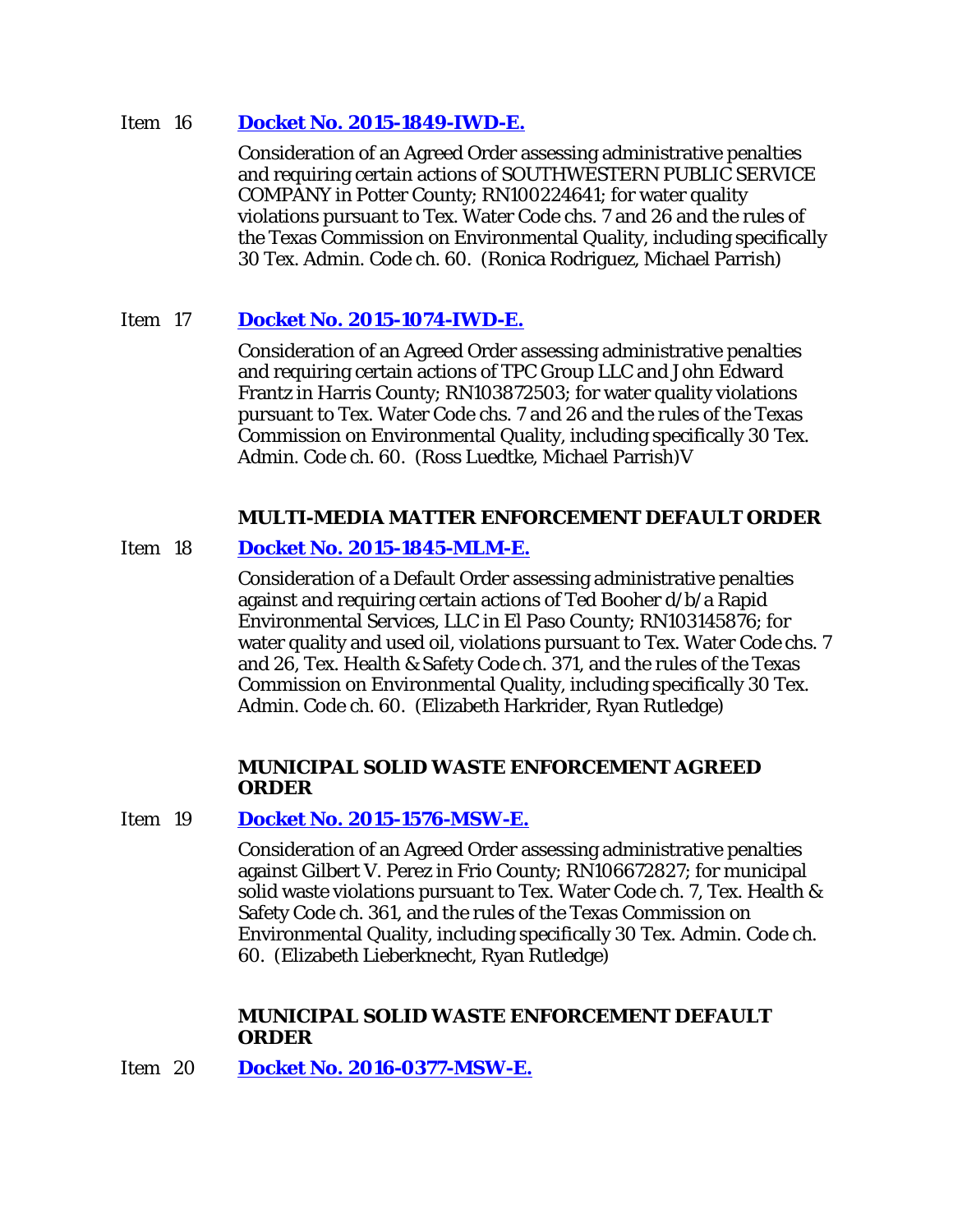#### Item 16 **[Docket No. 2015-1849-IWD-E.](http://www.tceq.texas.gov/assets/public/comm_exec/agendas/comm/backup/Agendas/2016/11-02-2016/1849IWD.pdf)**

Consideration of an Agreed Order assessing administrative penalties and requiring certain actions of SOUTHWESTERN PUBLIC SERVICE COMPANY in Potter County; RN100224641; for water quality violations pursuant to Tex. Water Code chs. 7 and 26 and the rules of the Texas Commission on Environmental Quality, including specifically 30 Tex. Admin. Code ch. 60. (Ronica Rodriguez, Michael Parrish)

# Item 17 **[Docket No. 2015-1074-IWD-E.](http://www.tceq.texas.gov/assets/public/comm_exec/agendas/comm/backup/Agendas/2016/11-02-2016/1074IWD.pdf)**

Consideration of an Agreed Order assessing administrative penalties and requiring certain actions of TPC Group LLC and John Edward Frantz in Harris County; RN103872503; for water quality violations pursuant to Tex. Water Code chs. 7 and 26 and the rules of the Texas Commission on Environmental Quality, including specifically 30 Tex. Admin. Code ch. 60. (Ross Luedtke, Michael Parrish)V

## **MULTI-MEDIA MATTER ENFORCEMENT DEFAULT ORDER**

## Item 18 **[Docket No. 2015-1845-MLM-E.](http://www.tceq.texas.gov/assets/public/comm_exec/agendas/comm/backup/Agendas/2016/11-02-2016/1845MLM.pdf)**

Consideration of a Default Order assessing administrative penalties against and requiring certain actions of Ted Booher d/b/a Rapid Environmental Services, LLC in El Paso County; RN103145876; for water quality and used oil, violations pursuant to Tex. Water Code chs. 7 and 26, Tex. Health & Safety Code ch. 371, and the rules of the Texas Commission on Environmental Quality, including specifically 30 Tex. Admin. Code ch. 60. (Elizabeth Harkrider, Ryan Rutledge)

#### **MUNICIPAL SOLID WASTE ENFORCEMENT AGREED ORDER**

#### Item 19 **[Docket No. 2015-1576-MSW-E.](http://www.tceq.texas.gov/assets/public/comm_exec/agendas/comm/backup/Agendas/2016/11-02-2016/1576MSW.pdf)**

Consideration of an Agreed Order assessing administrative penalties against Gilbert V. Perez in Frio County; RN106672827; for municipal solid waste violations pursuant to Tex. Water Code ch. 7, Tex. Health & Safety Code ch. 361, and the rules of the Texas Commission on Environmental Quality, including specifically 30 Tex. Admin. Code ch. 60. (Elizabeth Lieberknecht, Ryan Rutledge)

## **MUNICIPAL SOLID WASTE ENFORCEMENT DEFAULT ORDER**

Item 20 **[Docket No. 2016-0377-MSW-E.](http://www.tceq.texas.gov/assets/public/comm_exec/agendas/comm/backup/Agendas/2016/11-02-2016/0377MSW.pdf)**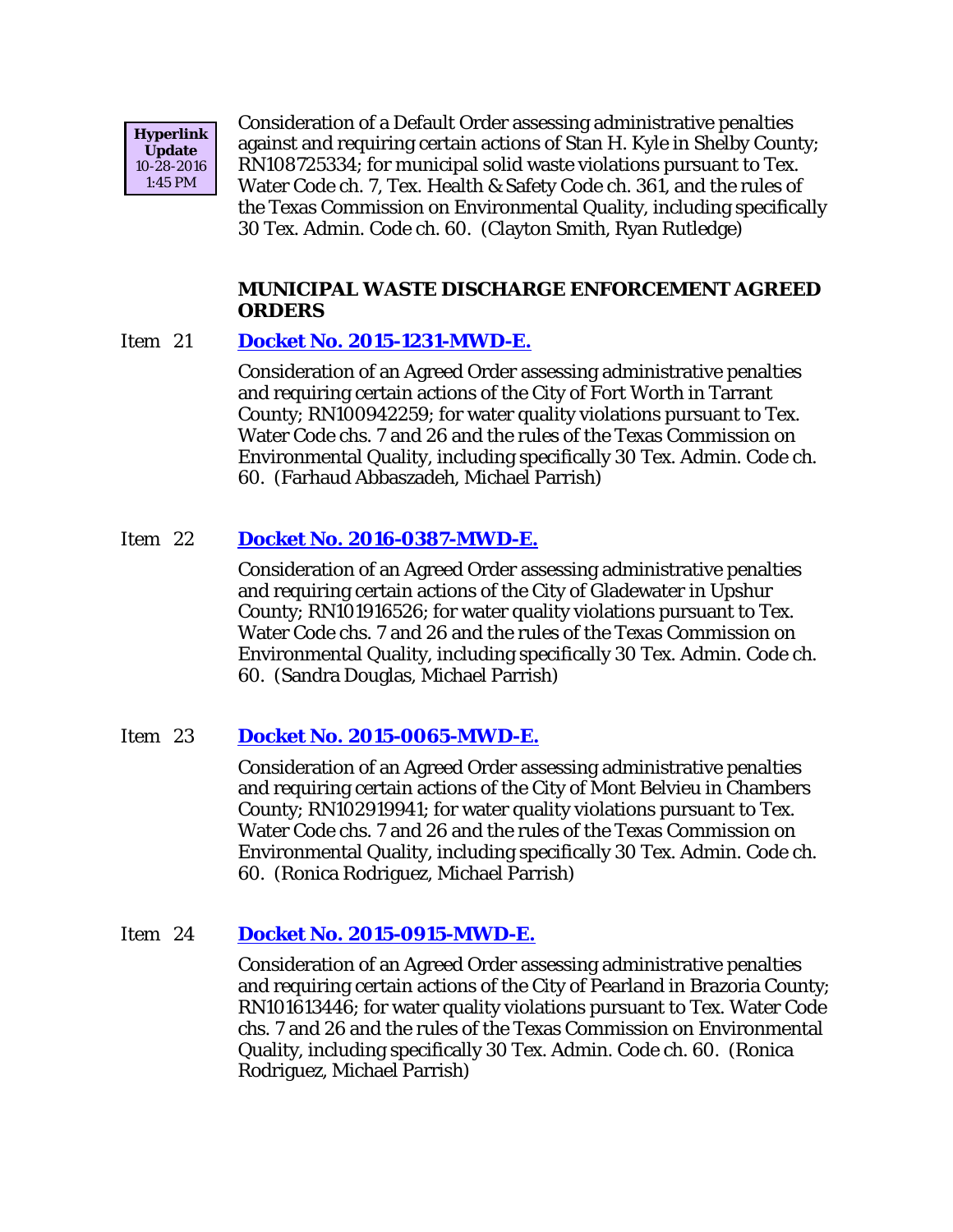

Consideration of a Default Order assessing administrative penalties against and requiring certain actions of Stan H. Kyle in Shelby County; RN108725334; for municipal solid waste violations pursuant to Tex. Water Code ch. 7, Tex. Health & Safety Code ch. 361, and the rules of the Texas Commission on Environmental Quality, including specifically 30 Tex. Admin. Code ch. 60. (Clayton Smith, Ryan Rutledge)

## **MUNICIPAL WASTE DISCHARGE ENFORCEMENT AGREED ORDERS**

#### Item 21 **[Docket No. 2015-1231-MWD-E.](http://www.tceq.texas.gov/assets/public/comm_exec/agendas/comm/backup/Agendas/2016/11-02-2016/1231MWD.pdf)**

Consideration of an Agreed Order assessing administrative penalties and requiring certain actions of the City of Fort Worth in Tarrant County; RN100942259; for water quality violations pursuant to Tex. Water Code chs. 7 and 26 and the rules of the Texas Commission on Environmental Quality, including specifically 30 Tex. Admin. Code ch. 60. (Farhaud Abbaszadeh, Michael Parrish)

# Item 22 **[Docket No. 2016-0387-MWD-E.](http://www.tceq.texas.gov/assets/public/comm_exec/agendas/comm/backup/Agendas/2016/11-02-2016/0387MWD.pdf)**

Consideration of an Agreed Order assessing administrative penalties and requiring certain actions of the City of Gladewater in Upshur County; RN101916526; for water quality violations pursuant to Tex. Water Code chs. 7 and 26 and the rules of the Texas Commission on Environmental Quality, including specifically 30 Tex. Admin. Code ch. 60. (Sandra Douglas, Michael Parrish)

## Item 23 **[Docket No. 2015-0065-MWD-E.](http://www.tceq.texas.gov/assets/public/comm_exec/agendas/comm/backup/Agendas/2016/11-02-2016/0065MWD.pdf)**

Consideration of an Agreed Order assessing administrative penalties and requiring certain actions of the City of Mont Belvieu in Chambers County; RN102919941; for water quality violations pursuant to Tex. Water Code chs. 7 and 26 and the rules of the Texas Commission on Environmental Quality, including specifically 30 Tex. Admin. Code ch. 60. (Ronica Rodriguez, Michael Parrish)

## Item 24 **[Docket No. 2015-0915-MWD-E.](http://www.tceq.texas.gov/assets/public/comm_exec/agendas/comm/backup/Agendas/2016/11-02-2016/0915MWD.pdf)**

Consideration of an Agreed Order assessing administrative penalties and requiring certain actions of the City of Pearland in Brazoria County; RN101613446; for water quality violations pursuant to Tex. Water Code chs. 7 and 26 and the rules of the Texas Commission on Environmental Quality, including specifically 30 Tex. Admin. Code ch. 60. (Ronica Rodriguez, Michael Parrish)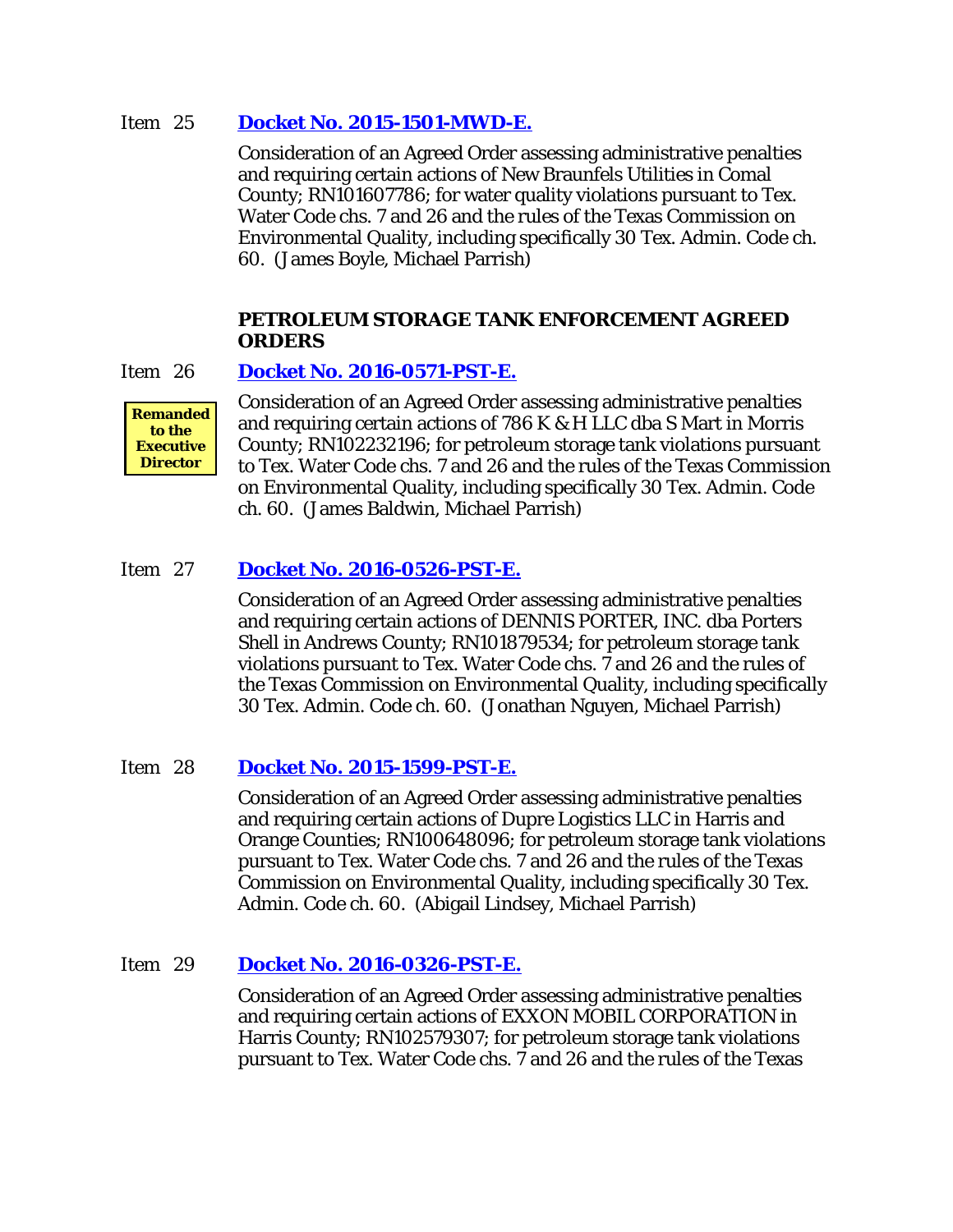#### Item 25 **[Docket No. 2015-1501-MWD-E.](http://www.tceq.texas.gov/assets/public/comm_exec/agendas/comm/backup/Agendas/2016/11-02-2016/1501MWD.pdf)**

Consideration of an Agreed Order assessing administrative penalties and requiring certain actions of New Braunfels Utilities in Comal County; RN101607786; for water quality violations pursuant to Tex. Water Code chs. 7 and 26 and the rules of the Texas Commission on Environmental Quality, including specifically 30 Tex. Admin. Code ch. 60. (James Boyle, Michael Parrish)

#### **PETROLEUM STORAGE TANK ENFORCEMENT AGREED ORDERS**

## Item 26 **[Docket No. 2016-0571-PST-E.](http://www.tceq.texas.gov/assets/public/comm_exec/agendas/comm/backup/Agendas/2016/11-02-2016/0571PST.pdf)**



Consideration of an Agreed Order assessing administrative penalties and requiring certain actions of 786 K & H LLC dba S Mart in Morris County; RN102232196; for petroleum storage tank violations pursuant to Tex. Water Code chs. 7 and 26 and the rules of the Texas Commission on Environmental Quality, including specifically 30 Tex. Admin. Code ch. 60. (James Baldwin, Michael Parrish)

## Item 27 **[Docket No. 2016-0526-PST-E.](http://www.tceq.texas.gov/assets/public/comm_exec/agendas/comm/backup/Agendas/2016/11-02-2016/0526PST.pdf)**

Consideration of an Agreed Order assessing administrative penalties and requiring certain actions of DENNIS PORTER, INC. dba Porters Shell in Andrews County; RN101879534; for petroleum storage tank violations pursuant to Tex. Water Code chs. 7 and 26 and the rules of the Texas Commission on Environmental Quality, including specifically 30 Tex. Admin. Code ch. 60. (Jonathan Nguyen, Michael Parrish)

## Item 28 **[Docket No. 2015-1599-PST-E.](http://www.tceq.texas.gov/assets/public/comm_exec/agendas/comm/backup/Agendas/2016/11-02-2016/1599PST.pdf)**

Consideration of an Agreed Order assessing administrative penalties and requiring certain actions of Dupre Logistics LLC in Harris and Orange Counties; RN100648096; for petroleum storage tank violations pursuant to Tex. Water Code chs. 7 and 26 and the rules of the Texas Commission on Environmental Quality, including specifically 30 Tex. Admin. Code ch. 60. (Abigail Lindsey, Michael Parrish)

## Item 29 **[Docket No. 2016-0326-PST-E.](http://www.tceq.texas.gov/assets/public/comm_exec/agendas/comm/backup/Agendas/2016/11-02-2016/0326PST.pdf)**

Consideration of an Agreed Order assessing administrative penalties and requiring certain actions of EXXON MOBIL CORPORATION in Harris County; RN102579307; for petroleum storage tank violations pursuant to Tex. Water Code chs. 7 and 26 and the rules of the Texas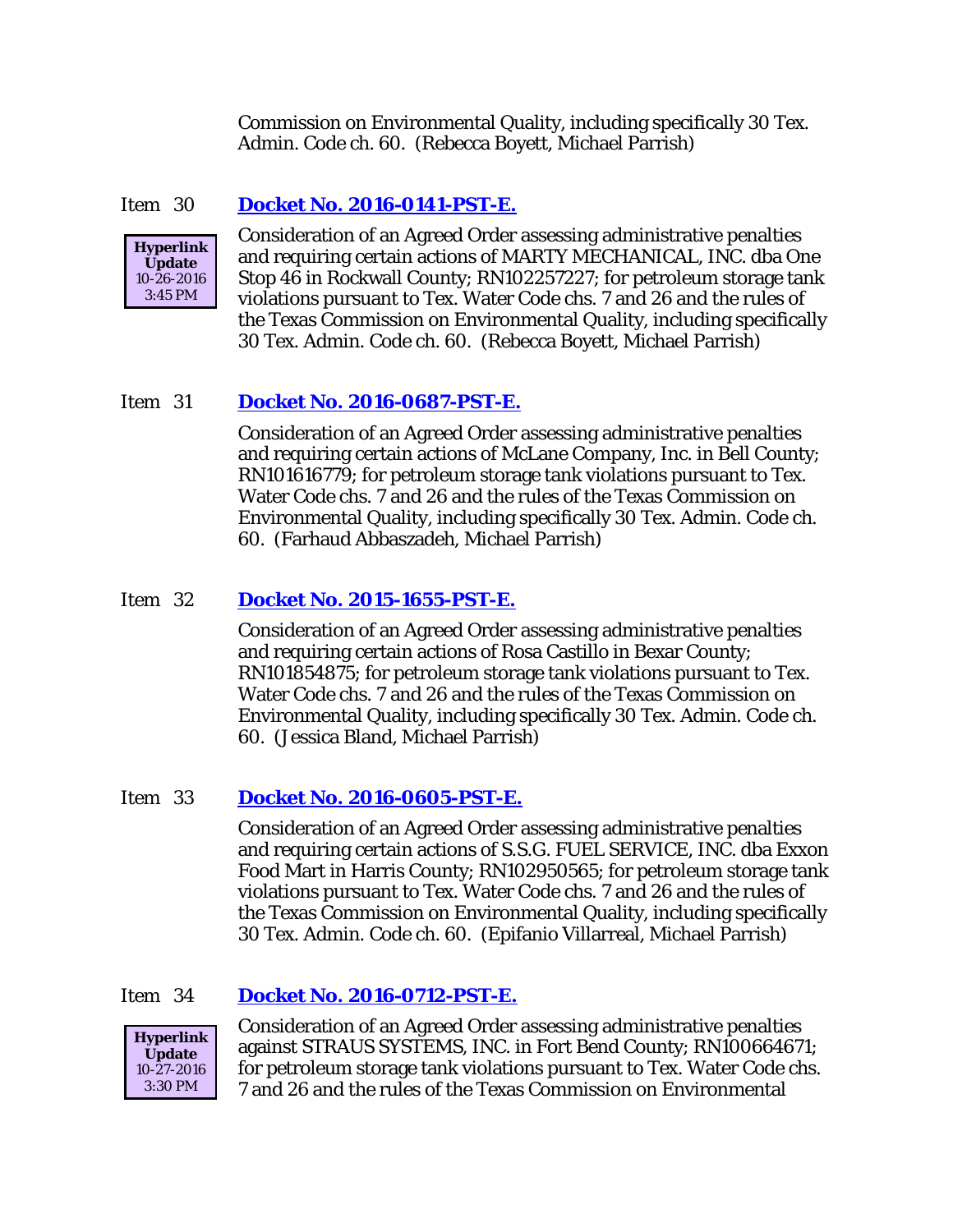Commission on Environmental Quality, including specifically 30 Tex. Admin. Code ch. 60. (Rebecca Boyett, Michael Parrish)

#### Item 30 **[Docket No. 2016-0141-PST-E.](http://www.tceq.texas.gov/assets/public/comm_exec/agendas/comm/backup/Agendas/2016/11-02-2016/0141PST.pdf)**



Consideration of an Agreed Order assessing administrative penalties and requiring certain actions of MARTY MECHANICAL, INC. dba One Stop 46 in Rockwall County; RN102257227; for petroleum storage tank violations pursuant to Tex. Water Code chs. 7 and 26 and the rules of the Texas Commission on Environmental Quality, including specifically 30 Tex. Admin. Code ch. 60. (Rebecca Boyett, Michael Parrish)

#### Item 31 **[Docket No. 2016-0687-PST-E.](http://www.tceq.texas.gov/assets/public/comm_exec/agendas/comm/backup/Agendas/2016/11-02-2016/0687PST.pdf)**

Consideration of an Agreed Order assessing administrative penalties and requiring certain actions of McLane Company, Inc. in Bell County; RN101616779; for petroleum storage tank violations pursuant to Tex. Water Code chs. 7 and 26 and the rules of the Texas Commission on Environmental Quality, including specifically 30 Tex. Admin. Code ch. 60. (Farhaud Abbaszadeh, Michael Parrish)

#### Item 32 **[Docket No. 2015-1655-PST-E.](http://www.tceq.texas.gov/assets/public/comm_exec/agendas/comm/backup/Agendas/2016/11-02-2016/1655PST.pdf)**

Consideration of an Agreed Order assessing administrative penalties and requiring certain actions of Rosa Castillo in Bexar County; RN101854875; for petroleum storage tank violations pursuant to Tex. Water Code chs. 7 and 26 and the rules of the Texas Commission on Environmental Quality, including specifically 30 Tex. Admin. Code ch. 60. (Jessica Bland, Michael Parrish)

#### Item 33 **[Docket No. 2016-0605-PST-E.](http://www.tceq.texas.gov/assets/public/comm_exec/agendas/comm/backup/Agendas/2016/11-02-2016/0605PST.pdf)**

Consideration of an Agreed Order assessing administrative penalties and requiring certain actions of S.S.G. FUEL SERVICE, INC. dba Exxon Food Mart in Harris County; RN102950565; for petroleum storage tank violations pursuant to Tex. Water Code chs. 7 and 26 and the rules of the Texas Commission on Environmental Quality, including specifically 30 Tex. Admin. Code ch. 60. (Epifanio Villarreal, Michael Parrish)

#### Item 34 **[Docket No. 2016-0712-PST-E.](http://www.tceq.texas.gov/assets/public/comm_exec/agendas/comm/backup/Agendas/2016/11-02-2016/0712PST.pdf)**



Consideration of an Agreed Order assessing administrative penalties against STRAUS SYSTEMS, INC. in Fort Bend County; RN100664671; for petroleum storage tank violations pursuant to Tex. Water Code chs. 7 and 26 and the rules of the Texas Commission on Environmental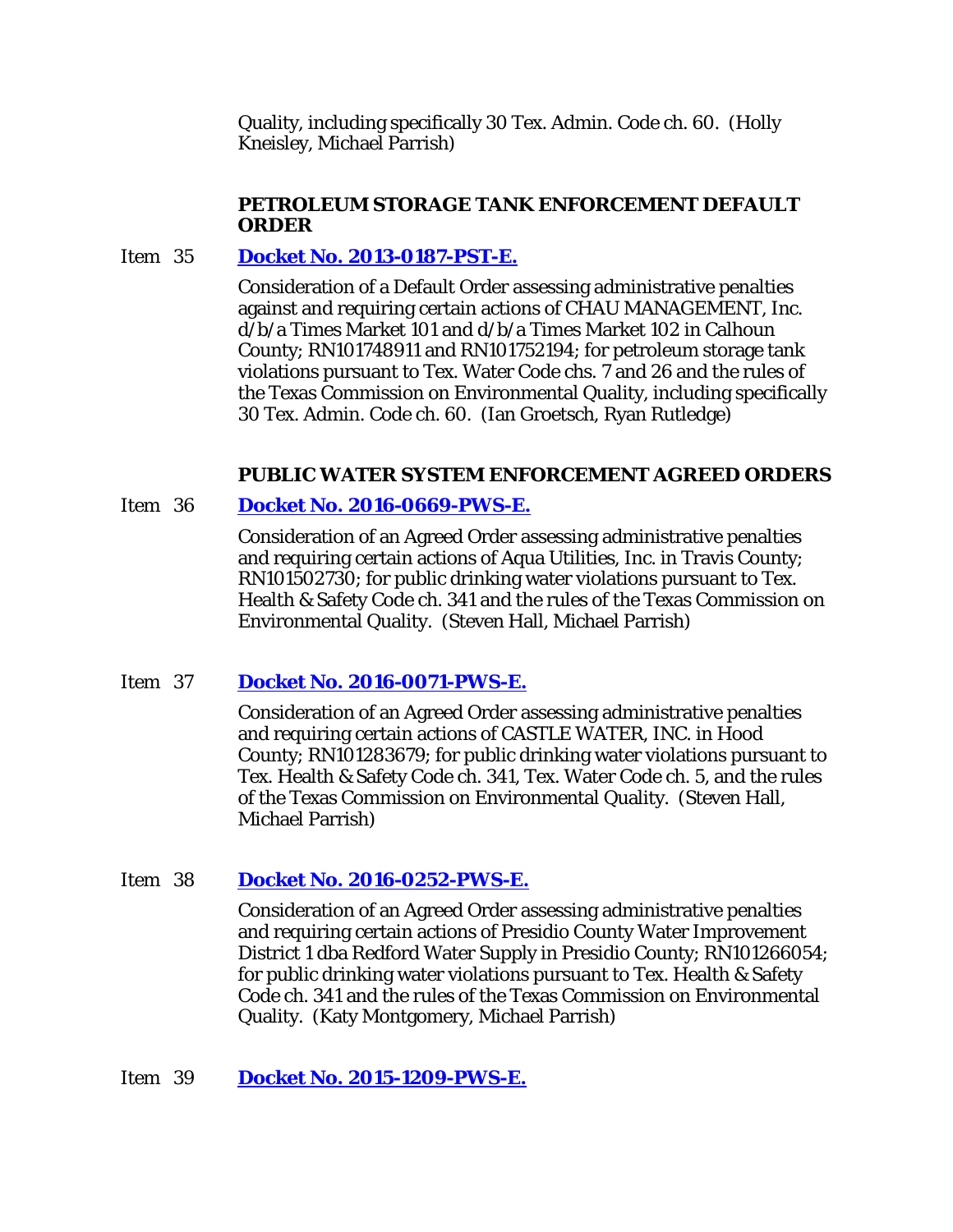Quality, including specifically 30 Tex. Admin. Code ch. 60. (Holly Kneisley, Michael Parrish)

## **PETROLEUM STORAGE TANK ENFORCEMENT DEFAULT ORDER**

# Item 35 **[Docket No. 2013-0187-PST-E.](http://www.tceq.texas.gov/assets/public/comm_exec/agendas/comm/backup/Agendas/2016/11-02-2016/0187PST.pdf)**

Consideration of a Default Order assessing administrative penalties against and requiring certain actions of CHAU MANAGEMENT, Inc. d/b/a Times Market 101 and d/b/a Times Market 102 in Calhoun County; RN101748911 and RN101752194; for petroleum storage tank violations pursuant to Tex. Water Code chs. 7 and 26 and the rules of the Texas Commission on Environmental Quality, including specifically 30 Tex. Admin. Code ch. 60. (Ian Groetsch, Ryan Rutledge)

## **PUBLIC WATER SYSTEM ENFORCEMENT AGREED ORDERS**

## Item 36 **[Docket No. 2016-0669-PWS-E.](http://www.tceq.texas.gov/assets/public/comm_exec/agendas/comm/backup/Agendas/2016/11-02-2016/0669PWS.pdf)**

Consideration of an Agreed Order assessing administrative penalties and requiring certain actions of Aqua Utilities, Inc. in Travis County; RN101502730; for public drinking water violations pursuant to Tex. Health & Safety Code ch. 341 and the rules of the Texas Commission on Environmental Quality. (Steven Hall, Michael Parrish)

## Item 37 **[Docket No. 2016-0071-PWS-E.](http://www.tceq.texas.gov/assets/public/comm_exec/agendas/comm/backup/Agendas/2016/11-02-2016/0071PWS.pdf)**

Consideration of an Agreed Order assessing administrative penalties and requiring certain actions of CASTLE WATER, INC. in Hood County; RN101283679; for public drinking water violations pursuant to Tex. Health & Safety Code ch. 341, Tex. Water Code ch. 5, and the rules of the Texas Commission on Environmental Quality. (Steven Hall, Michael Parrish)

# Item 38 **[Docket No. 2016-0252-PWS-E.](http://www.tceq.texas.gov/assets/public/comm_exec/agendas/comm/backup/Agendas/2016/11-02-2016/0252PWS.pdf)**

Consideration of an Agreed Order assessing administrative penalties and requiring certain actions of Presidio County Water Improvement District 1 dba Redford Water Supply in Presidio County; RN101266054; for public drinking water violations pursuant to Tex. Health & Safety Code ch. 341 and the rules of the Texas Commission on Environmental Quality. (Katy Montgomery, Michael Parrish)

## Item 39 **Docket No. [2015-1209-PWS-E.](http://www.tceq.texas.gov/assets/public/comm_exec/agendas/comm/backup/Agendas/2016/11-02-2016/1209PWS.pdf)**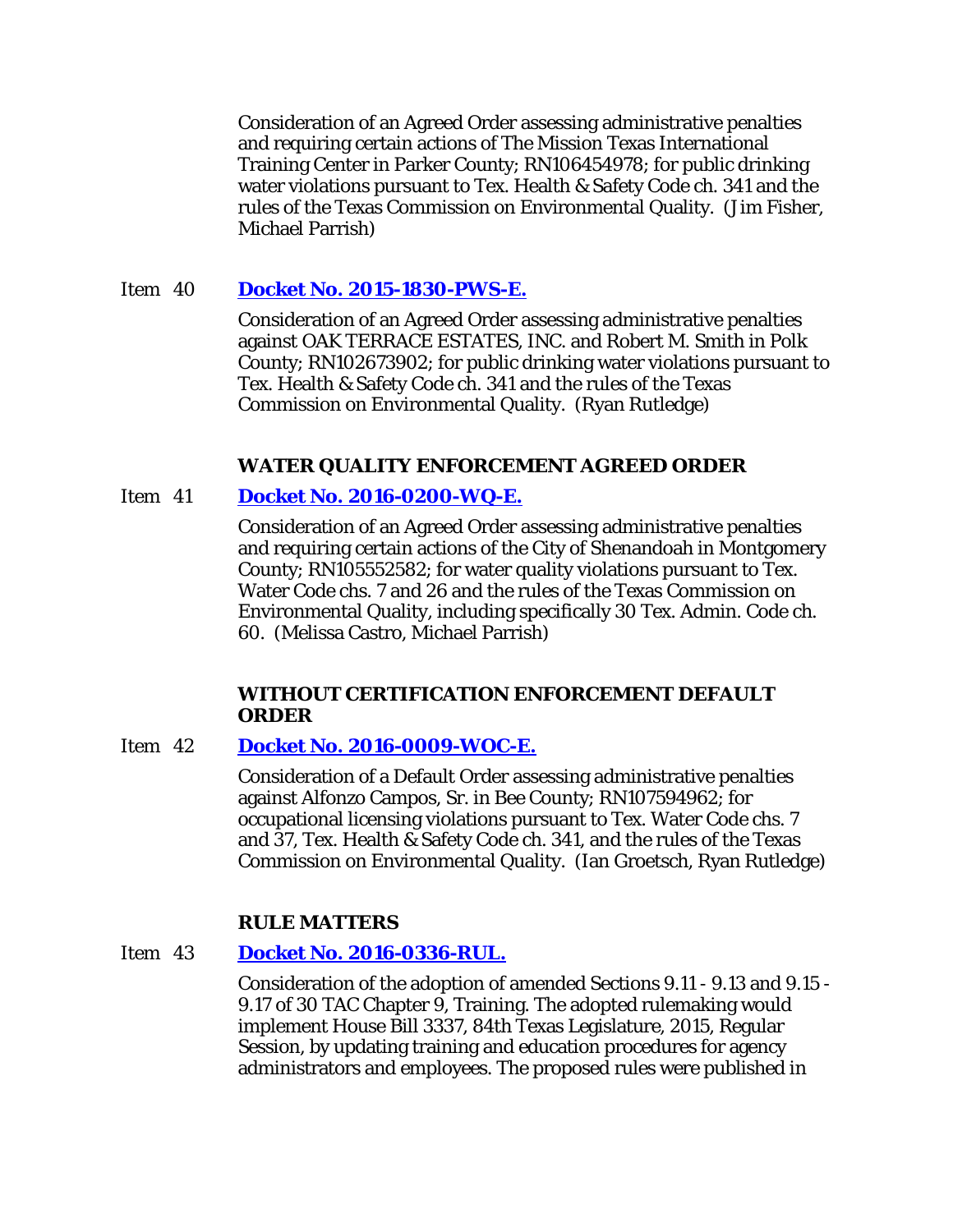Consideration of an Agreed Order assessing administrative penalties and requiring certain actions of The Mission Texas International Training Center in Parker County; RN106454978; for public drinking water violations pursuant to Tex. Health & Safety Code ch. 341 and the rules of the Texas Commission on Environmental Quality. (Jim Fisher, Michael Parrish)

# Item 40 **[Docket No. 2015-1830-PWS-E.](http://www.tceq.texas.gov/assets/public/comm_exec/agendas/comm/backup/Agendas/2016/11-02-2016/1830PWS.pdf)**

Consideration of an Agreed Order assessing administrative penalties against OAK TERRACE ESTATES, INC. and Robert M. Smith in Polk County; RN102673902; for public drinking water violations pursuant to Tex. Health & Safety Code ch. 341 and the rules of the Texas Commission on Environmental Quality. (Ryan Rutledge)

## **WATER QUALITY ENFORCEMENT AGREED ORDER**

# Item 41 **[Docket No. 2016-0200-WQ-E.](http://www.tceq.texas.gov/assets/public/comm_exec/agendas/comm/backup/Agendas/2016/11-02-2016/0200WQ.pdf)**

Consideration of an Agreed Order assessing administrative penalties and requiring certain actions of the City of Shenandoah in Montgomery County; RN105552582; for water quality violations pursuant to Tex. Water Code chs. 7 and 26 and the rules of the Texas Commission on Environmental Quality, including specifically 30 Tex. Admin. Code ch. 60. (Melissa Castro, Michael Parrish)

#### **WITHOUT CERTIFICATION ENFORCEMENT DEFAULT ORDER**

## Item 42 **[Docket No. 2016-0009-WOC-E.](http://www.tceq.texas.gov/assets/public/comm_exec/agendas/comm/backup/Agendas/2016/11-02-2016/0009WOC.pdf)**

Consideration of a Default Order assessing administrative penalties against Alfonzo Campos, Sr. in Bee County; RN107594962; for occupational licensing violations pursuant to Tex. Water Code chs. 7 and 37, Tex. Health & Safety Code ch. 341, and the rules of the Texas Commission on Environmental Quality. (Ian Groetsch, Ryan Rutledge)

## **RULE MATTERS**

## Item 43 **[Docket No. 2016-0336-RUL.](http://www.tceq.texas.gov/assets/public/comm_exec/agendas/comm/backup/Agendas/2016/11-02-2016/0336RUL.pdf)**

Consideration of the adoption of amended Sections 9.11 - 9.13 and 9.15 - 9.17 of 30 TAC Chapter 9, Training. The adopted rulemaking would implement House Bill 3337, 84th Texas Legislature, 2015, Regular Session, by updating training and education procedures for agency administrators and employees. The proposed rules were published in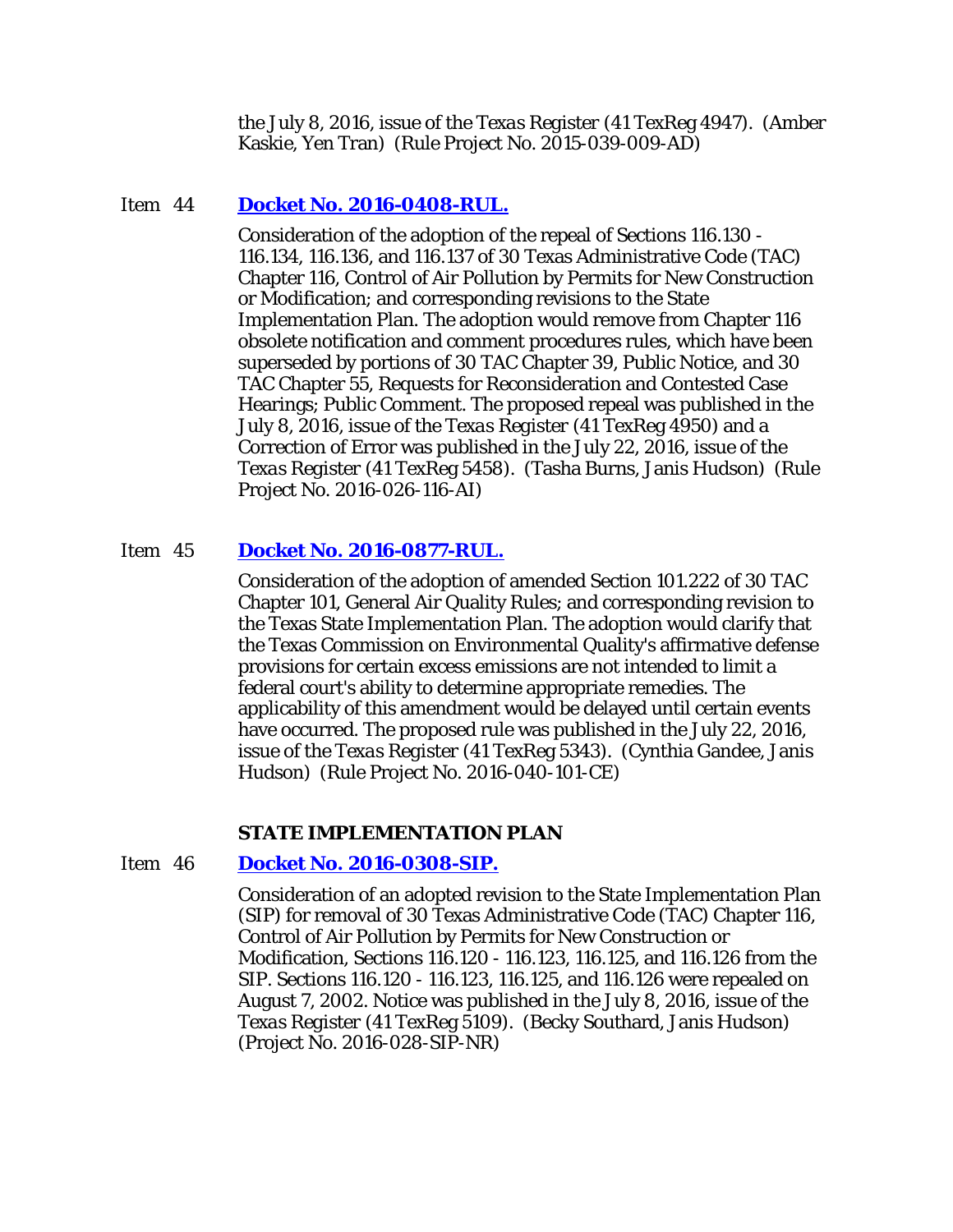the July 8, 2016, issue of the *Texas Register* (41 TexReg 4947). (Amber Kaskie, Yen Tran) (Rule Project No. 2015-039-009-AD)

#### Item 44 **[Docket No. 2016-0408-RUL.](http://www.tceq.texas.gov/assets/public/comm_exec/agendas/comm/backup/Agendas/2016/11-02-2016/0408RUL.pdf)**

Consideration of the adoption of the repeal of Sections 116.130 - 116.134, 116.136, and 116.137 of 30 Texas Administrative Code (TAC) Chapter 116, Control of Air Pollution by Permits for New Construction or Modification; and corresponding revisions to the State Implementation Plan. The adoption would remove from Chapter 116 obsolete notification and comment procedures rules, which have been superseded by portions of 30 TAC Chapter 39, Public Notice, and 30 TAC Chapter 55, Requests for Reconsideration and Contested Case Hearings; Public Comment. The proposed repeal was published in the July 8, 2016, issue of the *Texas Register* (41 TexReg 4950) and a Correction of Error was published in the July 22, 2016, issue of the *Texas Register* (41 TexReg 5458). (Tasha Burns, Janis Hudson) (Rule Project No. 2016-026-116-AI)

#### Item 45 **[Docket No. 2016-0877-RUL.](http://www.tceq.texas.gov/assets/public/comm_exec/agendas/comm/backup/Agendas/2016/11-02-2016/0877RUL.pdf)**

Consideration of the adoption of amended Section 101.222 of 30 TAC Chapter 101, General Air Quality Rules; and corresponding revision to the Texas State Implementation Plan. The adoption would clarify that the Texas Commission on Environmental Quality's affirmative defense provisions for certain excess emissions are not intended to limit a federal court's ability to determine appropriate remedies. The applicability of this amendment would be delayed until certain events have occurred. The proposed rule was published in the July 22, 2016, issue of the *Texas Register* (41 TexReg 5343). (Cynthia Gandee, Janis Hudson) (Rule Project No. 2016-040-101-CE)

#### **STATE IMPLEMENTATION PLAN**

#### Item 46 **[Docket No. 2016-0308-SIP.](http://www.tceq.texas.gov/assets/public/comm_exec/agendas/comm/backup/Agendas/2016/11-02-2016/0308SIP.pdf)**

Consideration of an adopted revision to the State Implementation Plan (SIP) for removal of 30 Texas Administrative Code (TAC) Chapter 116, Control of Air Pollution by Permits for New Construction or Modification, Sections 116.120 - 116.123, 116.125, and 116.126 from the SIP. Sections 116.120 - 116.123, 116.125, and 116.126 were repealed on August 7, 2002. Notice was published in the July 8, 2016, issue of the *Texas Register* (41 TexReg 5109). (Becky Southard, Janis Hudson) (Project No. 2016-028-SIP-NR)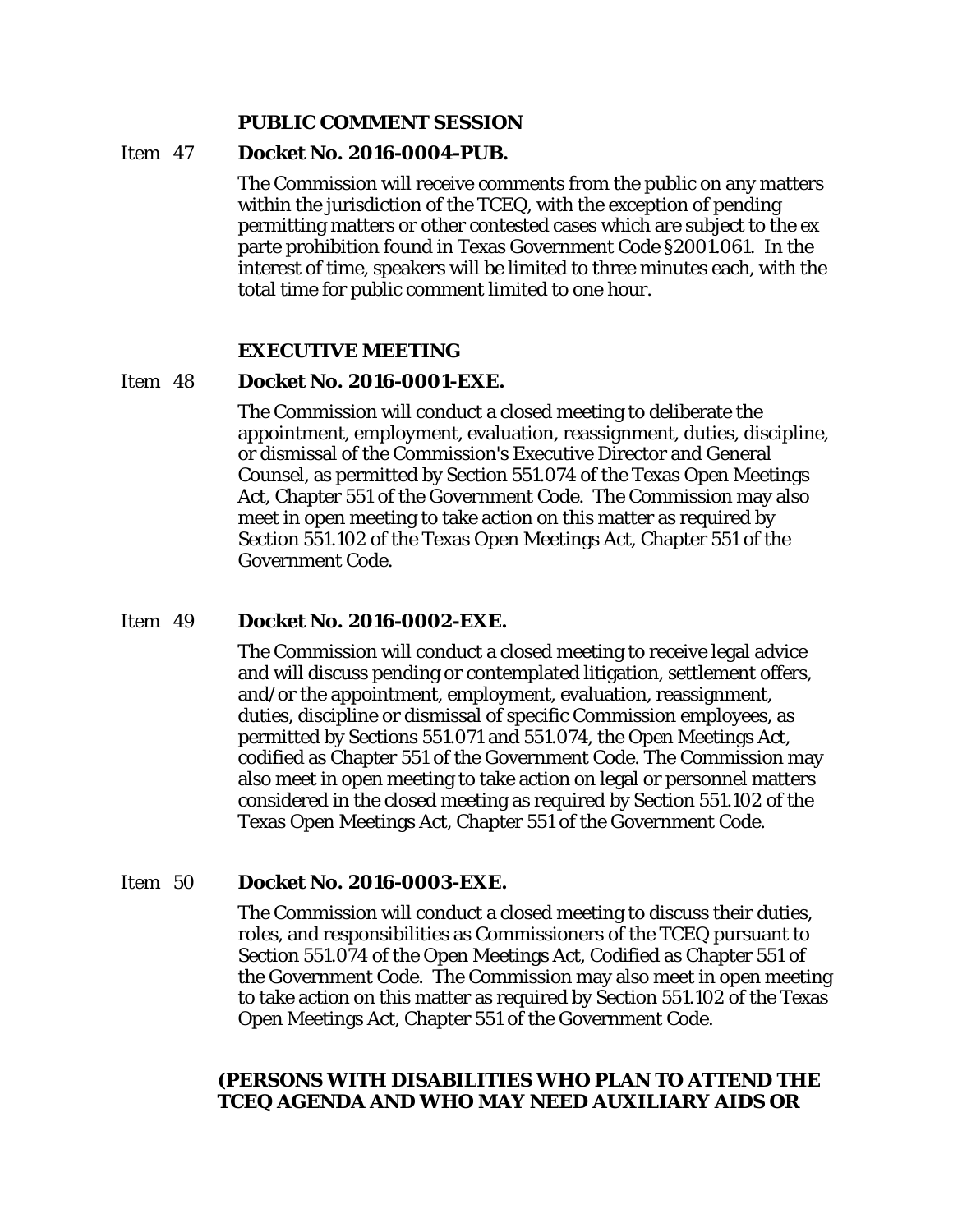#### **PUBLIC COMMENT SESSION**

#### Item 47 **Docket No. 2016-0004-PUB.**

The Commission will receive comments from the public on any matters within the jurisdiction of the TCEQ, with the exception of pending permitting matters or other contested cases which are subject to the ex parte prohibition found in Texas Government Code §2001.061. In the interest of time, speakers will be limited to three minutes each, with the total time for public comment limited to one hour.

#### **EXECUTIVE MEETING**

#### Item 48 **Docket No. 2016-0001-EXE.**

The Commission will conduct a closed meeting to deliberate the appointment, employment, evaluation, reassignment, duties, discipline, or dismissal of the Commission's Executive Director and General Counsel, as permitted by Section 551.074 of the Texas Open Meetings Act, Chapter 551 of the Government Code. The Commission may also meet in open meeting to take action on this matter as required by Section 551.102 of the Texas Open Meetings Act, Chapter 551 of the Government Code.

#### Item 49 **Docket No. 2016-0002-EXE.**

The Commission will conduct a closed meeting to receive legal advice and will discuss pending or contemplated litigation, settlement offers, and/or the appointment, employment, evaluation, reassignment, duties, discipline or dismissal of specific Commission employees, as permitted by Sections 551.071 and 551.074, the Open Meetings Act, codified as Chapter 551 of the Government Code. The Commission may also meet in open meeting to take action on legal or personnel matters considered in the closed meeting as required by Section 551.102 of the Texas Open Meetings Act, Chapter 551 of the Government Code.

#### Item 50 **Docket No. 2016-0003-EXE.**

The Commission will conduct a closed meeting to discuss their duties, roles, and responsibilities as Commissioners of the TCEQ pursuant to Section 551.074 of the Open Meetings Act, Codified as Chapter 551 of the Government Code. The Commission may also meet in open meeting to take action on this matter as required by Section 551.102 of the Texas Open Meetings Act, Chapter 551 of the Government Code.

#### **(PERSONS WITH DISABILITIES WHO PLAN TO ATTEND THE TCEQ AGENDA AND WHO MAY NEED AUXILIARY AIDS OR**